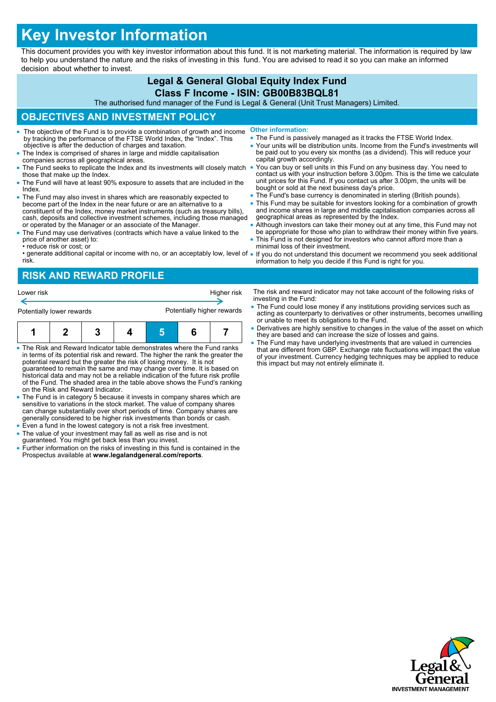# **Key Investor Information**

This document provides you with key investor information about this fund. It is not marketing material. The information is required by law to help you understand the nature and the risks of investing in this fund. You are advised to read it so you can make an informed decision about whether to invest.

#### **Legal & General Global Equity Index Fund Class F Income - ISIN: GB00B83BQL81** The authorised fund manager of the Fund is Legal & General (Unit Trust Managers) Limited. **OBJECTIVES AND INVESTMENT POLICY** The objective of the Fund is to provide a combination of growth and income by tracking the performance of the FTSE World Index, the "Index". This objective is after the deduction of charges and taxation. The Index is comprised of shares in large and middle capitalisation companies across all geographical areas. The Fund seeks to replicate the Index and its investments will closely match those that make up the Index. The Fund will have at least 90% exposure to assets that are included in the Index. The Fund may also invest in shares which are reasonably expected to become part of the Index in the near future or are an alternative to a constituent of the Index, money market instruments (such as treasury bills), cash, deposits and collective investment schemes, including those managed or operated by the Manager or an associate of the Manager. The Fund may use derivatives (contracts which have a value linked to the price of another asset) to: • reduce risk or cost; or • generate additional capital or income with no, or an acceptably low, level of • **Other information:** • The Fund is passively managed as it tracks the FTSE World Index. Your units will be distribution units. Income from the Fund's investments will be paid out to you every six months (as a dividend). This will reduce your capital growth accordingly. You can buy or sell units in this Fund on any business day. You need to contact us with your instruction before 3.00pm. This is the time we calculate unit prices for this Fund. If you contact us after 3.00pm, the units will be bought or sold at the next business day's price. The Fund's base currency is denominated in sterling (British pounds). This Fund may be suitable for investors looking for a combination of growth and income shares in large and middle capitalisation companies across all geographical areas as represented by the Index. Although investors can take their money out at any time, this Fund may not be appropriate for those who plan to withdraw their money within five years. • This Fund is not designed for investors who cannot afford more than a minimal loss of their investment. If you do not understand this document we recommend you seek additional

risk. information to help you decide if this Fund is right for you.

## **RISK AND REWARD PROFILE**



- The Risk and Reward Indicator table demonstrates where the Fund ranks in terms of its potential risk and reward. The higher the rank the greater the potential reward but the greater the risk of losing money. It is not guaranteed to remain the same and may change over time. It is based on historical data and may not be a reliable indication of the future risk profile of the Fund. The shaded area in the table above shows the Fund's ranking on the Risk and Reward Indicator.
- The Fund is in category 5 because it invests in company shares which are sensitive to variations in the stock market. The value of company shares can change substantially over short periods of time. Company shares are generally considered to be higher risk investments than bonds or cash.
- Even a fund in the lowest category is not a risk free investment.
- The value of your investment may fall as well as rise and is not guaranteed. You might get back less than you invest.
- Further information on the risks of investing in this fund is contained in the Prospectus available at **www.legalandgeneral.com/reports**.
- The risk and reward indicator may not take account of the following risks of investing in the Fund:
- The Fund could lose money if any institutions providing services such as acting as counterparty to derivatives or other instruments, becomes unwilling or unable to meet its obligations to the Fund.
- Derivatives are highly sensitive to changes in the value of the asset on which they are based and can increase the size of losses and gains.
- The Fund may have underlying investments that are valued in currencies that are different from GBP. Exchange rate fluctuations will impact the value of your investment. Currency hedging techniques may be applied to reduce this impact but may not entirely eliminate it.